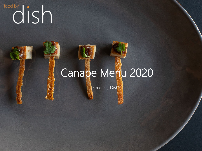# rood by control in the set of the set of the set of the set of the set of the set of the set of the set of the set of the set of the set of the set of the set of the set of the set of the set of the set of the set of the s

## Canape Menu 2020

Food by Dish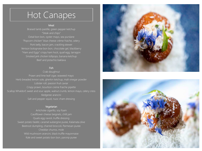### Hot Canapes

### **Meat**

Braised lamb pastille, green pepper ketchup "Steak and chips" Oxtail bon bon, oyster mayo, sea purslane "Popcorn chicken" blue cheese crème fraiche, celery Pork belly, bacon jam, crackling skewer Venison bolognaise bon bon, chocolate gel, blackberry "Ham and Eggs" crispy ham hock, quail egg, tarragon Smoked jerk chicken lollipops, banana ketchup Beef and pistachio baklava

### Fish

Crab doughnut Prawn and lime leaf cigar, seaweed mayo Herb breaded lemon sole, gherkin ketchup, malt vinegar powder Lobster roll, passion fruit caviar Crispy prawn, bourbon creme fraiche pipette Scallop Whaldorf, sweet and sour apple, walnut crumb, lemon mayo, celery cress Kedgeree arancini Salt and pepper squid, nuoc cham dressing

#### Vegetarian

Artichoke cigarillo, soy foam Cauliflower cheese beignets, chilli jam Quails egg ravioli, truffle dressing Sweet potato falafel, caramel aubergine puree, Kalamata olive Beetroot dumpling, charred broccoli, Parmesan puree Cheddar churros, mole Wild mushroom arancini, black truffle mayonnaise Kale and sweet potato bon bon, parsnip puree



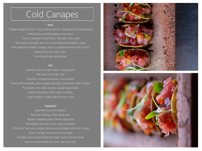### Cold Canapes

#### **Meat**

"Rueben Bagel" pastrami, Swiss cheese, gherkin, sauerkraut, Russian dressing Potted goose, pickled grapes, plum sauce "Cherry" whipped chicken livers, foie gras, cherry jelly Mini yorkie, rare beef, red onion marmalade, horseradish, rocket Five spiced duck breast, mango, mouli, cucumber, sesame cone, hoi sin Venison and chocolate "pop" Scotch quail egg, piccalilli gel

### Fish

Sea bass ceviche, mojito caviar, crispy quinoa Sea trout and caviar cone Tuna taco, whipped avocado, crispy shallots Cured salmon skewer, yellow pepper ketchup, horseradish cream cheese Tuna tataki, rose, black sesame, wasabi mayonnaise Lobster doughnut, Marie rose, cucumber Cajun crayfish cracker, paprika, lime, chives

#### Vegetarian

Japanese mushroom garden Beetroot meringue, feta, black olive "Apples" whipped goats' cheese, apple jelly Red pepper houmous cone, crispy chickpeas Pumpkin and smoked ricotta tart, sage, thyme infused honey Kale and sweet potato bon bon, parsnip puree